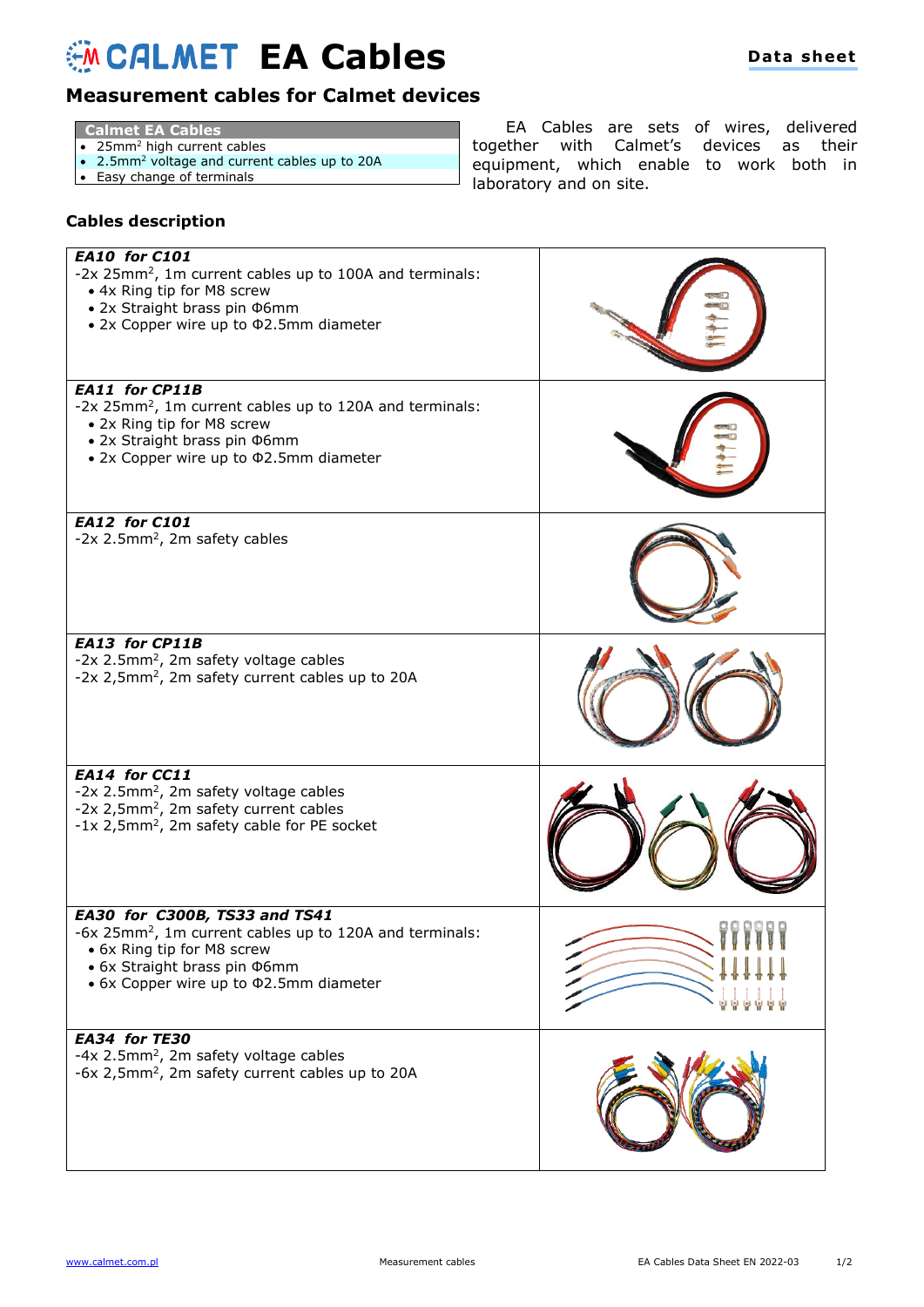## **EA Cables**

## **Measurement cables for Calmet devices**

- **Calmet EA Cables**
- 25mm<sup>2</sup> high current cables
- 2.5mm<sup>2</sup> voltage and current cables up to 20A
- Easy change of terminals

EA Cables are sets of wires, delivered together with Calmet's devices as their equipment, which enable to work both in laboratory and on site.

## **Cables description**

| <b>EA10 for C101</b><br>-2x 25mm <sup>2</sup> , 1m current cables up to 100A and terminals:<br>• 4x Ring tip for M8 screw<br>• 2x Straight brass pin Ф6mm<br>• 2x Copper wire up to Φ2.5mm diameter           |  |
|---------------------------------------------------------------------------------------------------------------------------------------------------------------------------------------------------------------|--|
| EA11 for CP11B<br>-2x 25mm <sup>2</sup> , 1m current cables up to 120A and terminals:<br>• 2x Ring tip for M8 screw<br>• 2x Straight brass pin Ф6mm<br>• 2x Copper wire up to $\Phi$ 2.5mm diameter           |  |
| <b>EA12 for C101</b><br>-2x 2.5mm <sup>2</sup> , 2m safety cables                                                                                                                                             |  |
| <b>EA13 for CP11B</b><br>-2x 2.5mm <sup>2</sup> , 2m safety voltage cables<br>-2x 2,5mm <sup>2</sup> , 2m safety current cables up to 20A                                                                     |  |
| EA14 for CC11<br>-2x 2.5mm <sup>2</sup> , 2m safety voltage cables<br>-2x 2,5mm <sup>2</sup> , 2m safety current cables<br>-1x 2,5mm <sup>2</sup> , 2m safety cable for PE socket                             |  |
| EA30 for C300B, TS33 and TS41<br>-6x 25mm <sup>2</sup> , 1m current cables up to 120A and terminals:<br>• 6x Ring tip for M8 screw<br>• 6x Straight brass pin Ф6mm<br>• 6x Copper wire up to \$2.5mm diameter |  |
| EA34 for TE30<br>-4x 2.5mm <sup>2</sup> , 2m safety voltage cables<br>-6x 2,5mm <sup>2</sup> , 2m safety current cables up to 20A                                                                             |  |